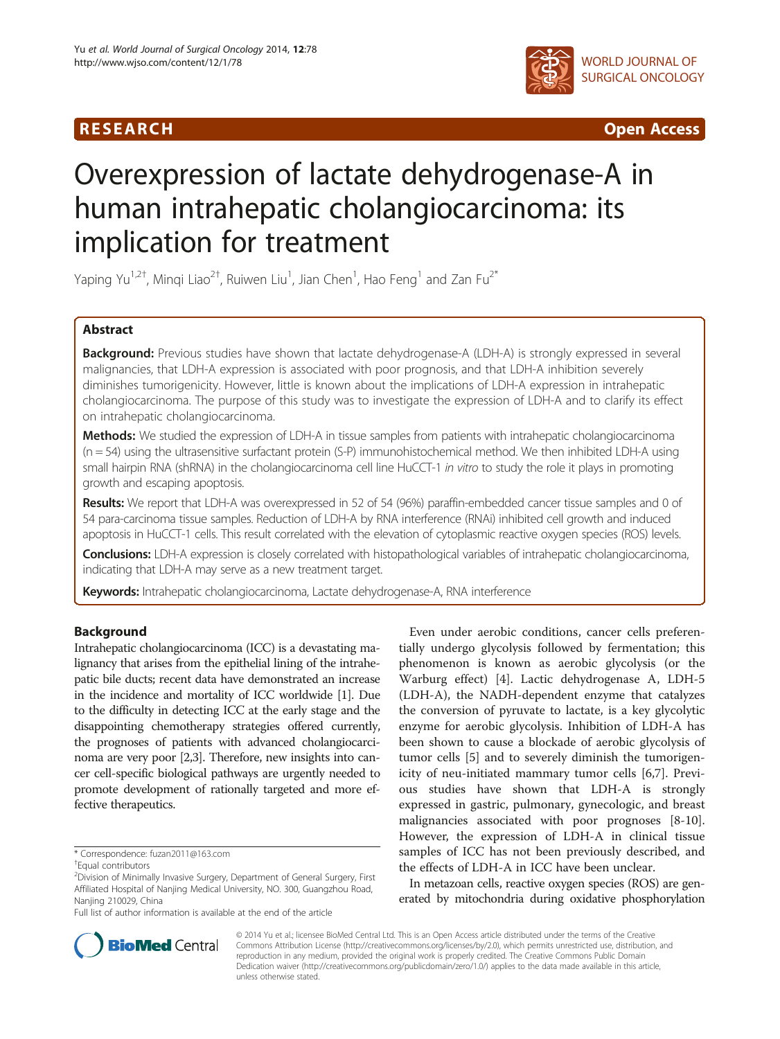

R E S EAR CH Open Access

# Overexpression of lactate dehydrogenase-A in human intrahepatic cholangiocarcinoma: its implication for treatment

Yaping Yu $^{1,2^+}$ , Minqi Liao $^{2^+}$ , Ruiwen Liu $^1$ , Jian Chen $^1$ , Hao Feng $^1$  and Zan Fu $^{2^*}$ 

# Abstract

Background: Previous studies have shown that lactate dehydrogenase-A (LDH-A) is strongly expressed in several malignancies, that LDH-A expression is associated with poor prognosis, and that LDH-A inhibition severely diminishes tumorigenicity. However, little is known about the implications of LDH-A expression in intrahepatic cholangiocarcinoma. The purpose of this study was to investigate the expression of LDH-A and to clarify its effect on intrahepatic cholangiocarcinoma.

Methods: We studied the expression of LDH-A in tissue samples from patients with intrahepatic cholangiocarcinoma  $(n = 54)$  using the ultrasensitive surfactant protein (S-P) immunohistochemical method. We then inhibited LDH-A using small hairpin RNA (shRNA) in the cholangiocarcinoma cell line HuCCT-1 in vitro to study the role it plays in promoting growth and escaping apoptosis.

Results: We report that LDH-A was overexpressed in 52 of 54 (96%) paraffin-embedded cancer tissue samples and 0 of 54 para-carcinoma tissue samples. Reduction of LDH-A by RNA interference (RNAi) inhibited cell growth and induced apoptosis in HuCCT-1 cells. This result correlated with the elevation of cytoplasmic reactive oxygen species (ROS) levels.

Conclusions: LDH-A expression is closely correlated with histopathological variables of intrahepatic cholangiocarcinoma, indicating that LDH-A may serve as a new treatment target.

Keywords: Intrahepatic cholangiocarcinoma, Lactate dehydrogenase-A, RNA interference

# Background

Intrahepatic cholangiocarcinoma (ICC) is a devastating malignancy that arises from the epithelial lining of the intrahepatic bile ducts; recent data have demonstrated an increase in the incidence and mortality of ICC worldwide [[1](#page-5-0)]. Due to the difficulty in detecting ICC at the early stage and the disappointing chemotherapy strategies offered currently, the prognoses of patients with advanced cholangiocarcinoma are very poor [\[2,3\]](#page-5-0). Therefore, new insights into cancer cell-specific biological pathways are urgently needed to promote development of rationally targeted and more effective therapeutics.

Full list of author information is available at the end of the article

Even under aerobic conditions, cancer cells preferentially undergo glycolysis followed by fermentation; this phenomenon is known as aerobic glycolysis (or the Warburg effect) [[4\]](#page-5-0). Lactic dehydrogenase A, LDH-5 (LDH-A), the NADH-dependent enzyme that catalyzes the conversion of pyruvate to lactate, is a key glycolytic enzyme for aerobic glycolysis. Inhibition of LDH-A has been shown to cause a blockade of aerobic glycolysis of tumor cells [\[5](#page-5-0)] and to severely diminish the tumorigenicity of neu-initiated mammary tumor cells [\[6](#page-5-0)[,7\]](#page-6-0). Previous studies have shown that LDH-A is strongly expressed in gastric, pulmonary, gynecologic, and breast malignancies associated with poor prognoses [[8-10](#page-6-0)]. However, the expression of LDH-A in clinical tissue samples of ICC has not been previously described, and the effects of LDH-A in ICC have been unclear.

In metazoan cells, reactive oxygen species (ROS) are generated by mitochondria during oxidative phosphorylation



© 2014 Yu et al.; licensee BioMed Central Ltd. This is an Open Access article distributed under the terms of the Creative Commons Attribution License [\(http://creativecommons.org/licenses/by/2.0\)](http://creativecommons.org/licenses/by/2.0), which permits unrestricted use, distribution, and reproduction in any medium, provided the original work is properly credited. The Creative Commons Public Domain Dedication waiver [\(http://creativecommons.org/publicdomain/zero/1.0/](http://creativecommons.org/publicdomain/zero/1.0/)) applies to the data made available in this article, unless otherwise stated.

<sup>\*</sup> Correspondence: [fuzan2011@163.com](mailto:fuzan2011@163.com) †

Equal contributors

<sup>&</sup>lt;sup>2</sup>Division of Minimally Invasive Surgery, Department of General Surgery, First Affiliated Hospital of Nanjing Medical University, NO. 300, Guangzhou Road, Nanjing 210029, China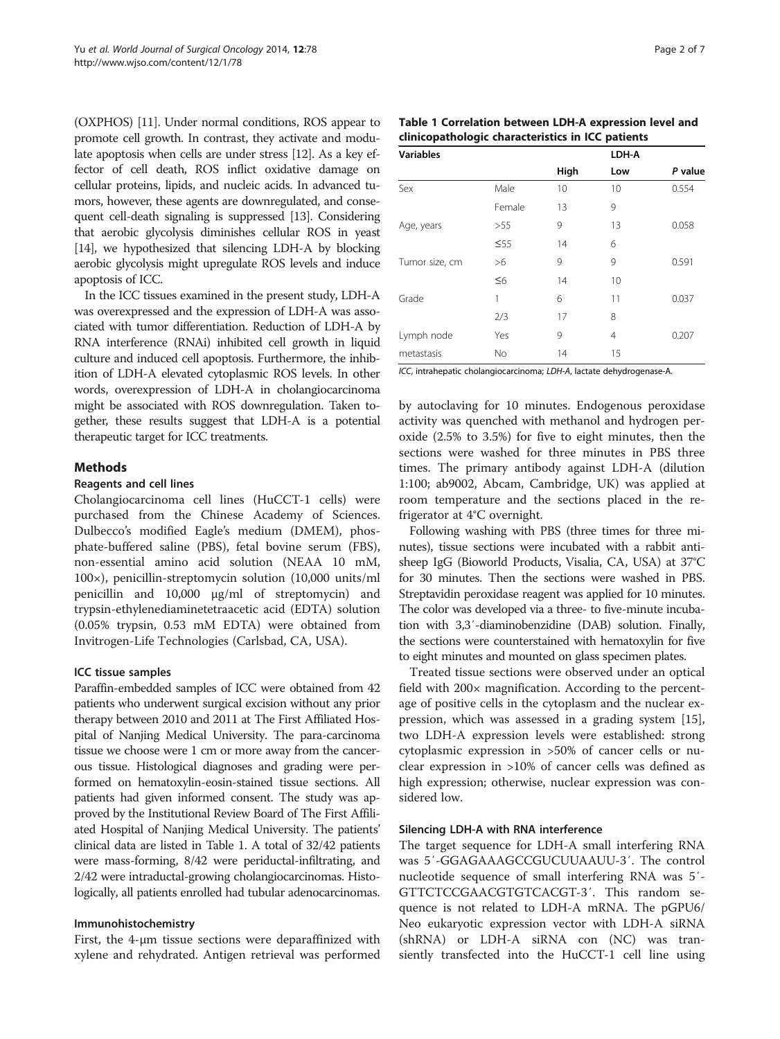<span id="page-1-0"></span>(OXPHOS) [\[11](#page-6-0)]. Under normal conditions, ROS appear to promote cell growth. In contrast, they activate and modulate apoptosis when cells are under stress [[12](#page-6-0)]. As a key effector of cell death, ROS inflict oxidative damage on cellular proteins, lipids, and nucleic acids. In advanced tumors, however, these agents are downregulated, and consequent cell-death signaling is suppressed [\[13\]](#page-6-0). Considering that aerobic glycolysis diminishes cellular ROS in yeast [[14](#page-6-0)], we hypothesized that silencing LDH-A by blocking aerobic glycolysis might upregulate ROS levels and induce apoptosis of ICC.

In the ICC tissues examined in the present study, LDH-A was overexpressed and the expression of LDH-A was associated with tumor differentiation. Reduction of LDH-A by RNA interference (RNAi) inhibited cell growth in liquid culture and induced cell apoptosis. Furthermore, the inhibition of LDH-A elevated cytoplasmic ROS levels. In other words, overexpression of LDH-A in cholangiocarcinoma might be associated with ROS downregulation. Taken together, these results suggest that LDH-A is a potential therapeutic target for ICC treatments.

# Methods

#### Reagents and cell lines

Cholangiocarcinoma cell lines (HuCCT-1 cells) were purchased from the Chinese Academy of Sciences. Dulbecco's modified Eagle's medium (DMEM), phosphate-buffered saline (PBS), fetal bovine serum (FBS), non-essential amino acid solution (NEAA 10 mM, 100×), penicillin-streptomycin solution (10,000 units/ml penicillin and 10,000 μg/ml of streptomycin) and trypsin-ethylenediaminetetraacetic acid (EDTA) solution (0.05% trypsin, 0.53 mM EDTA) were obtained from Invitrogen-Life Technologies (Carlsbad, CA, USA).

# ICC tissue samples

Paraffin-embedded samples of ICC were obtained from 42 patients who underwent surgical excision without any prior therapy between 2010 and 2011 at The First Affiliated Hospital of Nanjing Medical University. The para-carcinoma tissue we choose were 1 cm or more away from the cancerous tissue. Histological diagnoses and grading were performed on hematoxylin-eosin-stained tissue sections. All patients had given informed consent. The study was approved by the Institutional Review Board of The First Affiliated Hospital of Nanjing Medical University. The patients' clinical data are listed in Table 1. A total of 32/42 patients were mass-forming, 8/42 were periductal-infiltrating, and 2/42 were intraductal-growing cholangiocarcinomas. Histologically, all patients enrolled had tubular adenocarcinomas.

# Immunohistochemistry

First, the 4-μm tissue sections were deparaffinized with xylene and rehydrated. Antigen retrieval was performed

| Table 1 Correlation between LDH-A expression level and |  |  |  |  |  |  |
|--------------------------------------------------------|--|--|--|--|--|--|
| clinicopathologic characteristics in ICC patients      |  |  |  |  |  |  |

| <b>Variables</b> |           |      | LDH-A |         |
|------------------|-----------|------|-------|---------|
|                  |           | High | Low   | P value |
| Sex              | Male      | 10   | 10    | 0.554   |
|                  | Female    | 13   | 9     |         |
| Age, years       | >55       | 9    | 13    | 0.058   |
|                  | $\leq 55$ | 14   | 6     |         |
| Tumor size, cm   | >6        | 9    | 9     | 0.591   |
|                  | $\leq 6$  | 14   | 10    |         |
| Grade            | 1         | 6    | 11    | 0.037   |
|                  | 2/3       | 17   | 8     |         |
| Lymph node       | Yes       | 9    | 4     | 0.207   |
| metastasis       | <b>No</b> | 14   | 15    |         |

ICC, intrahepatic cholangiocarcinoma; LDH-A, lactate dehydrogenase-A.

by autoclaving for 10 minutes. Endogenous peroxidase activity was quenched with methanol and hydrogen peroxide (2.5% to 3.5%) for five to eight minutes, then the sections were washed for three minutes in PBS three times. The primary antibody against LDH-A (dilution 1:100; ab9002, Abcam, Cambridge, UK) was applied at room temperature and the sections placed in the refrigerator at 4°C overnight.

Following washing with PBS (three times for three minutes), tissue sections were incubated with a rabbit antisheep IgG (Bioworld Products, Visalia, CA, USA) at 37°C for 30 minutes. Then the sections were washed in PBS. Streptavidin peroxidase reagent was applied for 10 minutes. The color was developed via a three- to five-minute incubation with 3,3′-diaminobenzidine (DAB) solution. Finally, the sections were counterstained with hematoxylin for five to eight minutes and mounted on glass specimen plates.

Treated tissue sections were observed under an optical field with 200× magnification. According to the percentage of positive cells in the cytoplasm and the nuclear expression, which was assessed in a grading system [\[15](#page-6-0)], two LDH-A expression levels were established: strong cytoplasmic expression in >50% of cancer cells or nuclear expression in >10% of cancer cells was defined as high expression; otherwise, nuclear expression was considered low.

# Silencing LDH-A with RNA interference

The target sequence for LDH-A small interfering RNA was 5′-GGAGAAAGCCGUCUUAAUU-3′. The control nucleotide sequence of small interfering RNA was 5′- GTTCTCCGAACGTGTCACGT-3′. This random sequence is not related to LDH-A mRNA. The pGPU6/ Neo eukaryotic expression vector with LDH-A siRNA (shRNA) or LDH-A siRNA con (NC) was transiently transfected into the HuCCT-1 cell line using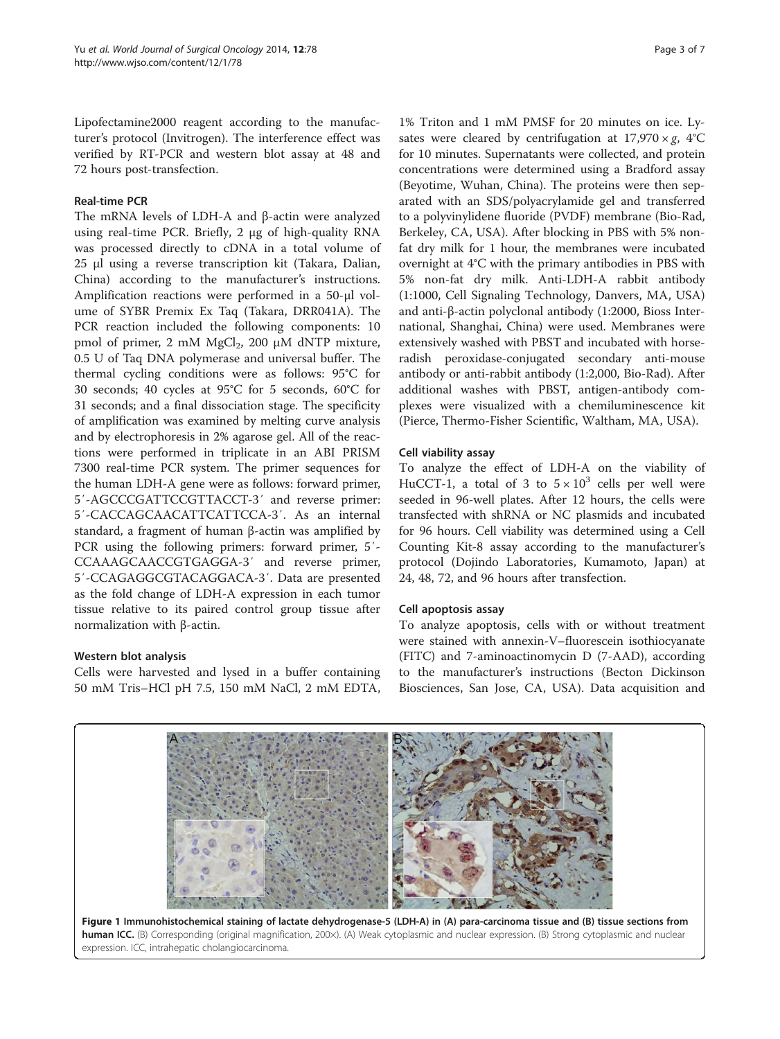<span id="page-2-0"></span>Lipofectamine2000 reagent according to the manufacturer's protocol (Invitrogen). The interference effect was verified by RT-PCR and western blot assay at 48 and 72 hours post-transfection.

#### Real-time PCR

The mRNA levels of LDH-A and β-actin were analyzed using real-time PCR. Briefly, 2 μg of high-quality RNA was processed directly to cDNA in a total volume of 25 μl using a reverse transcription kit (Takara, Dalian, China) according to the manufacturer's instructions. Amplification reactions were performed in a 50-μl volume of SYBR Premix Ex Taq (Takara, DRR041A). The PCR reaction included the following components: 10 pmol of primer, 2 mM MgCl<sub>2</sub>, 200 μM dNTP mixture, 0.5 U of Taq DNA polymerase and universal buffer. The thermal cycling conditions were as follows: 95°C for 30 seconds; 40 cycles at 95°C for 5 seconds, 60°C for 31 seconds; and a final dissociation stage. The specificity of amplification was examined by melting curve analysis and by electrophoresis in 2% agarose gel. All of the reactions were performed in triplicate in an ABI PRISM 7300 real-time PCR system. The primer sequences for the human LDH-A gene were as follows: forward primer, 5′-AGCCCGATTCCGTTACCT-3′ and reverse primer: 5′-CACCAGCAACATTCATTCCA-3′. As an internal standard, a fragment of human β-actin was amplified by PCR using the following primers: forward primer, 5′- CCAAAGCAACCGTGAGGA-3′ and reverse primer, 5′-CCAGAGGCGTACAGGACA-3′. Data are presented as the fold change of LDH-A expression in each tumor tissue relative to its paired control group tissue after normalization with β-actin.

# Western blot analysis

Cells were harvested and lysed in a buffer containing 50 mM Tris–HCl pH 7.5, 150 mM NaCl, 2 mM EDTA,

1% Triton and 1 mM PMSF for 20 minutes on ice. Lysates were cleared by centrifugation at  $17,970 \times g$ ,  $4^{\circ}$ C for 10 minutes. Supernatants were collected, and protein concentrations were determined using a Bradford assay (Beyotime, Wuhan, China). The proteins were then separated with an SDS/polyacrylamide gel and transferred to a polyvinylidene fluoride (PVDF) membrane (Bio-Rad, Berkeley, CA, USA). After blocking in PBS with 5% nonfat dry milk for 1 hour, the membranes were incubated overnight at 4°C with the primary antibodies in PBS with 5% non-fat dry milk. Anti-LDH-A rabbit antibody (1:1000, Cell Signaling Technology, Danvers, MA, USA) and anti-β-actin polyclonal antibody (1:2000, Bioss International, Shanghai, China) were used. Membranes were extensively washed with PBST and incubated with horseradish peroxidase-conjugated secondary anti-mouse antibody or anti-rabbit antibody (1:2,000, Bio-Rad). After additional washes with PBST, antigen-antibody complexes were visualized with a chemiluminescence kit (Pierce, Thermo-Fisher Scientific, Waltham, MA, USA).

#### Cell viability assay

To analyze the effect of LDH-A on the viability of HuCCT-1, a total of 3 to  $5 \times 10^3$  cells per well were seeded in 96-well plates. After 12 hours, the cells were transfected with shRNA or NC plasmids and incubated for 96 hours. Cell viability was determined using a Cell Counting Kit-8 assay according to the manufacturer's protocol (Dojindo Laboratories, Kumamoto, Japan) at 24, 48, 72, and 96 hours after transfection.

#### Cell apoptosis assay

To analyze apoptosis, cells with or without treatment were stained with annexin-V–fluorescein isothiocyanate (FITC) and 7-aminoactinomycin D (7-AAD), according to the manufacturer's instructions (Becton Dickinson Biosciences, San Jose, CA, USA). Data acquisition and

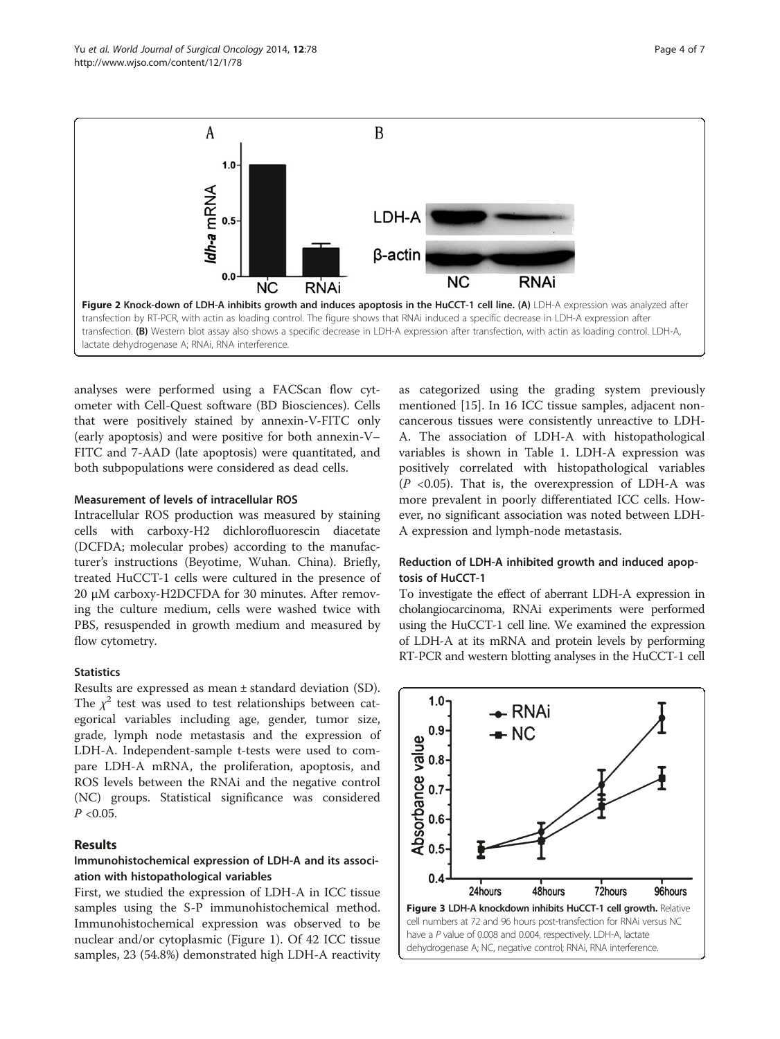<span id="page-3-0"></span>

analyses were performed using a FACScan flow cytometer with Cell-Quest software (BD Biosciences). Cells that were positively stained by annexin-V-FITC only (early apoptosis) and were positive for both annexin-V– FITC and 7-AAD (late apoptosis) were quantitated, and both subpopulations were considered as dead cells.

#### Measurement of levels of intracellular ROS

Intracellular ROS production was measured by staining cells with carboxy-H2 dichlorofluorescin diacetate (DCFDA; molecular probes) according to the manufacturer's instructions (Beyotime, Wuhan. China). Briefly, treated HuCCT-1 cells were cultured in the presence of 20 μM carboxy-H2DCFDA for 30 minutes. After removing the culture medium, cells were washed twice with PBS, resuspended in growth medium and measured by flow cytometry.

# **Statistics**

Results are expressed as mean ± standard deviation (SD). The  $\chi^2$  test was used to test relationships between categorical variables including age, gender, tumor size, grade, lymph node metastasis and the expression of LDH-A. Independent-sample t-tests were used to compare LDH-A mRNA, the proliferation, apoptosis, and ROS levels between the RNAi and the negative control (NC) groups. Statistical significance was considered  $P < 0.05$ .

# Results

# Immunohistochemical expression of LDH-A and its association with histopathological variables

First, we studied the expression of LDH-A in ICC tissue samples using the S-P immunohistochemical method. Immunohistochemical expression was observed to be nuclear and/or cytoplasmic (Figure [1\)](#page-2-0). Of 42 ICC tissue samples, 23 (54.8%) demonstrated high LDH-A reactivity

as categorized using the grading system previously mentioned [[15\]](#page-6-0). In 16 ICC tissue samples, adjacent noncancerous tissues were consistently unreactive to LDH-A. The association of LDH-A with histopathological variables is shown in Table [1.](#page-1-0) LDH-A expression was positively correlated with histopathological variables  $(P \le 0.05)$ . That is, the overexpression of LDH-A was more prevalent in poorly differentiated ICC cells. However, no significant association was noted between LDH-A expression and lymph-node metastasis.

#### Reduction of LDH-A inhibited growth and induced apoptosis of HuCCT-1

To investigate the effect of aberrant LDH-A expression in cholangiocarcinoma, RNAi experiments were performed using the HuCCT-1 cell line. We examined the expression of LDH-A at its mRNA and protein levels by performing RT-PCR and western blotting analyses in the HuCCT-1 cell

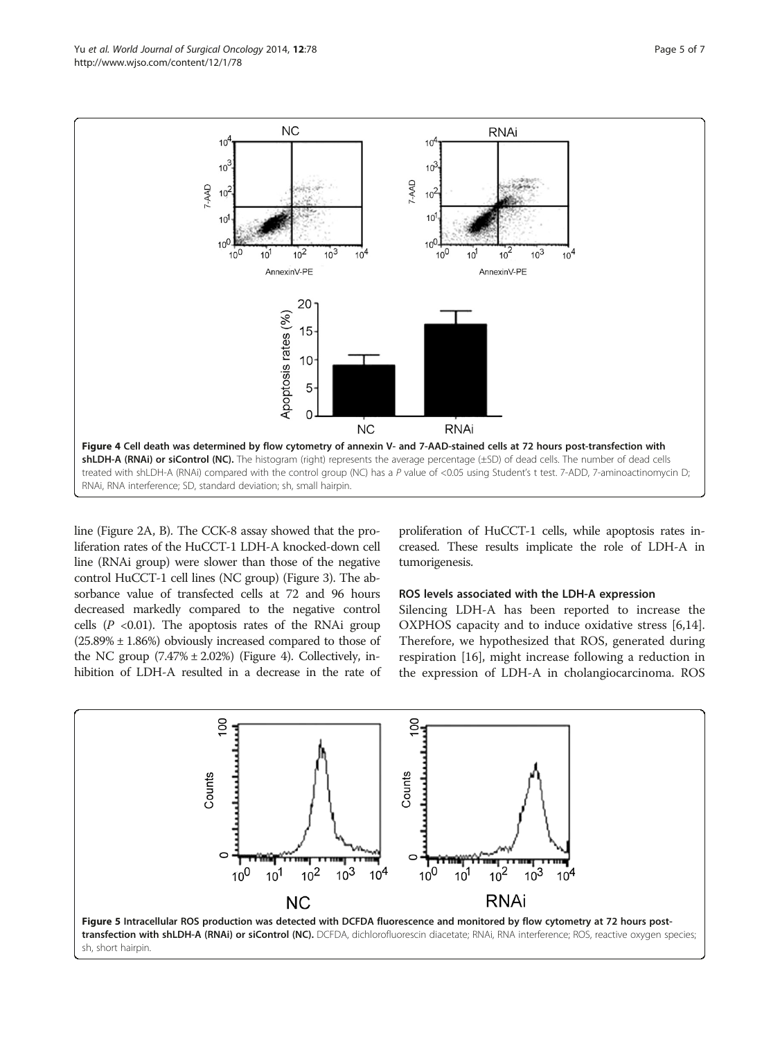<span id="page-4-0"></span>

line (Figure [2](#page-3-0)A, B). The CCK-8 assay showed that the proliferation rates of the HuCCT-1 LDH-A knocked-down cell line (RNAi group) were slower than those of the negative control HuCCT-1 cell lines (NC group) (Figure [3](#page-3-0)). The absorbance value of transfected cells at 72 and 96 hours decreased markedly compared to the negative control cells  $(P \le 0.01)$ . The apoptosis rates of the RNAi group  $(25.89\% \pm 1.86\%)$  obviously increased compared to those of the NC group  $(7.47\% \pm 2.02\%)$  (Figure 4). Collectively, inhibition of LDH-A resulted in a decrease in the rate of

proliferation of HuCCT-1 cells, while apoptosis rates increased. These results implicate the role of LDH-A in tumorigenesis.

#### ROS levels associated with the LDH-A expression

Silencing LDH-A has been reported to increase the OXPHOS capacity and to induce oxidative stress [\[6](#page-5-0)[,14](#page-6-0)]. Therefore, we hypothesized that ROS, generated during respiration [\[16](#page-6-0)], might increase following a reduction in the expression of LDH-A in cholangiocarcinoma. ROS

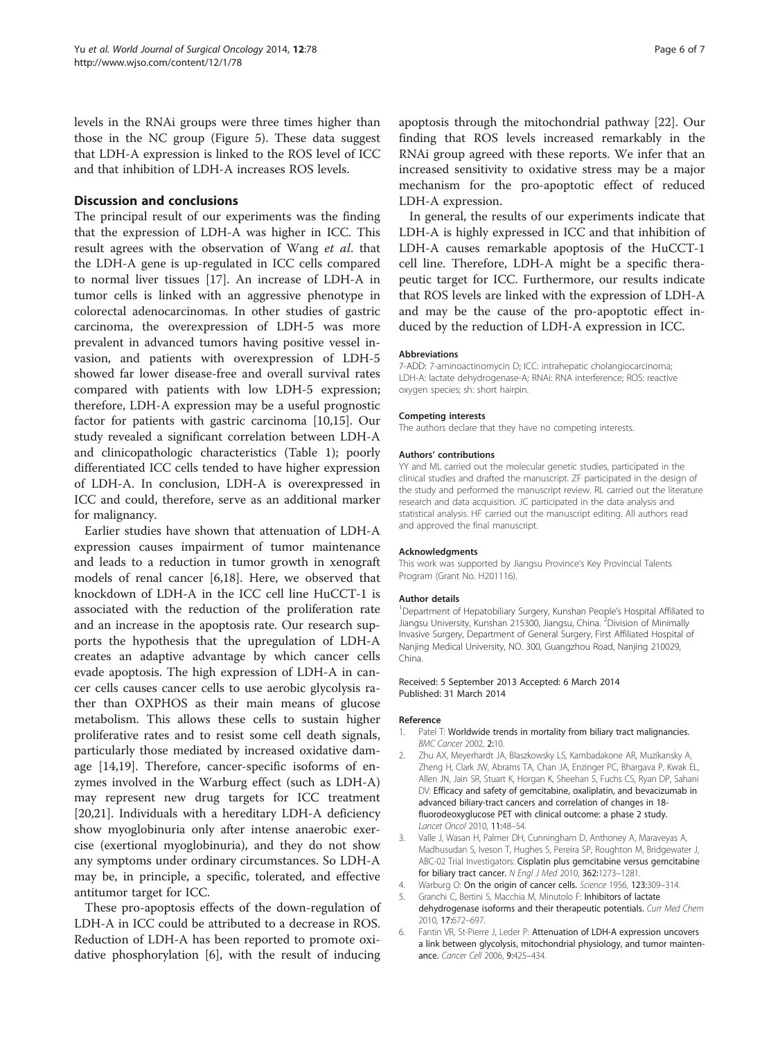<span id="page-5-0"></span>levels in the RNAi groups were three times higher than those in the NC group (Figure [5\)](#page-4-0). These data suggest that LDH-A expression is linked to the ROS level of ICC and that inhibition of LDH-A increases ROS levels.

#### Discussion and conclusions

The principal result of our experiments was the finding that the expression of LDH-A was higher in ICC. This result agrees with the observation of Wang et al. that the LDH-A gene is up-regulated in ICC cells compared to normal liver tissues [\[17](#page-6-0)]. An increase of LDH-A in tumor cells is linked with an aggressive phenotype in colorectal adenocarcinomas. In other studies of gastric carcinoma, the overexpression of LDH-5 was more prevalent in advanced tumors having positive vessel invasion, and patients with overexpression of LDH-5 showed far lower disease-free and overall survival rates compared with patients with low LDH-5 expression; therefore, LDH-A expression may be a useful prognostic factor for patients with gastric carcinoma [\[10,15\]](#page-6-0). Our study revealed a significant correlation between LDH-A and clinicopathologic characteristics (Table [1](#page-1-0)); poorly differentiated ICC cells tended to have higher expression of LDH-A. In conclusion, LDH-A is overexpressed in ICC and could, therefore, serve as an additional marker for malignancy.

Earlier studies have shown that attenuation of LDH-A expression causes impairment of tumor maintenance and leads to a reduction in tumor growth in xenograft models of renal cancer [6[,18](#page-6-0)]. Here, we observed that knockdown of LDH-A in the ICC cell line HuCCT-1 is associated with the reduction of the proliferation rate and an increase in the apoptosis rate. Our research supports the hypothesis that the upregulation of LDH-A creates an adaptive advantage by which cancer cells evade apoptosis. The high expression of LDH-A in cancer cells causes cancer cells to use aerobic glycolysis rather than OXPHOS as their main means of glucose metabolism. This allows these cells to sustain higher proliferative rates and to resist some cell death signals, particularly those mediated by increased oxidative damage [[14,19](#page-6-0)]. Therefore, cancer-specific isoforms of enzymes involved in the Warburg effect (such as LDH-A) may represent new drug targets for ICC treatment [[20,21\]](#page-6-0). Individuals with a hereditary LDH-A deficiency show myoglobinuria only after intense anaerobic exercise (exertional myoglobinuria), and they do not show any symptoms under ordinary circumstances. So LDH-A may be, in principle, a specific, tolerated, and effective antitumor target for ICC.

These pro-apoptosis effects of the down-regulation of LDH-A in ICC could be attributed to a decrease in ROS. Reduction of LDH-A has been reported to promote oxidative phosphorylation [6], with the result of inducing

apoptosis through the mitochondrial pathway [[22\]](#page-6-0). Our finding that ROS levels increased remarkably in the RNAi group agreed with these reports. We infer that an increased sensitivity to oxidative stress may be a major mechanism for the pro-apoptotic effect of reduced LDH-A expression.

In general, the results of our experiments indicate that LDH-A is highly expressed in ICC and that inhibition of LDH-A causes remarkable apoptosis of the HuCCT-1 cell line. Therefore, LDH-A might be a specific therapeutic target for ICC. Furthermore, our results indicate that ROS levels are linked with the expression of LDH-A and may be the cause of the pro-apoptotic effect induced by the reduction of LDH-A expression in ICC.

#### Abbreviations

7-ADD: 7-aminoactinomycin D; ICC: intrahepatic cholangiocarcinoma; LDH-A: lactate dehydrogenase-A; RNAi: RNA interference; ROS: reactive oxygen species; sh: short hairpin.

#### Competing interests

The authors declare that they have no competing interests.

#### Authors' contributions

YY and ML carried out the molecular genetic studies, participated in the clinical studies and drafted the manuscript. ZF participated in the design of the study and performed the manuscript review. RL carried out the literature research and data acquisition. JC participated in the data analysis and statistical analysis. HF carried out the manuscript editing. All authors read and approved the final manuscript.

#### Acknowledgments

This work was supported by Jiangsu Province's Key Provincial Talents Program (Grant No. H201116).

#### Author details

<sup>1</sup>Department of Hepatobiliary Surgery, Kunshan People's Hospital Affiliated to Jiangsu University, Kunshan 215300, Jiangsu, China. <sup>2</sup>Division of Minimally Invasive Surgery, Department of General Surgery, First Affiliated Hospital of Nanjing Medical University, NO. 300, Guangzhou Road, Nanjing 210029, China.

#### Received: 5 September 2013 Accepted: 6 March 2014 Published: 31 March 2014

#### Reference

- 1. Patel T: Worldwide trends in mortality from biliary tract malignancies. BMC Cancer 2002, 2:10.
- 2. Zhu AX, Meyerhardt JA, Blaszkowsky LS, Kambadakone AR, Muzikansky A, Zheng H, Clark JW, Abrams TA, Chan JA, Enzinger PC, Bhargava P, Kwak EL, Allen JN, Jain SR, Stuart K, Horgan K, Sheehan S, Fuchs CS, Ryan DP, Sahani DV: Efficacy and safety of gemcitabine, oxaliplatin, and bevacizumab in advanced biliary-tract cancers and correlation of changes in 18 fluorodeoxyglucose PET with clinical outcome: a phase 2 study. Lancet Oncol 2010, 11:48–54.
- 3. Valle J, Wasan H, Palmer DH, Cunningham D, Anthoney A, Maraveyas A, Madhusudan S, Iveson T, Hughes S, Pereira SP, Roughton M, Bridgewater J, ABC-02 Trial Investigators: Cisplatin plus gemcitabine versus gemcitabine for biliary tract cancer. N Engl J Med 2010, 362:1273–1281.
- 4. Warburg O: On the origin of cancer cells. Science 1956, 123:309-314.
- 5. Granchi C, Bertini S, Macchia M, Minutolo F: Inhibitors of lactate
- dehydrogenase isoforms and their therapeutic potentials. Curr Med Chem 2010, 17:672–697.
- 6. Fantin VR, St-Pierre J, Leder P: Attenuation of LDH-A expression uncovers a link between glycolysis, mitochondrial physiology, and tumor maintenance. Cancer Cell 2006, 9:425–434.